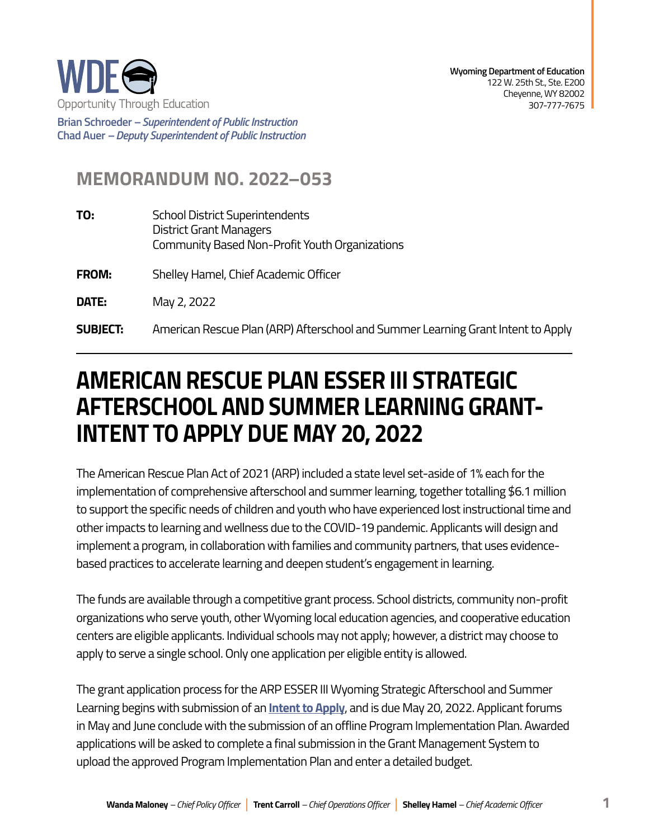

**Brian Schroeder –***Superintendent of Public Instruction*  **Chad Auer** *– Deputy Superintendent of Public Instruction* 

## **MEMORANDUM NO. 2022–053**

| TO: | <b>School District Superintendents</b>         |
|-----|------------------------------------------------|
|     | District Grant Managers                        |
|     | Community Based Non-Profit Youth Organizations |

**FROM:** Shelley Hamel, Chief Academic Officer

**DATE:** May 2, 2022

**SUBJECT:** American Rescue Plan (ARP) Afterschool and Summer Learning Grant Intent to Apply

## **INTENT TO APPLY DUE MAY 20, 2022 AMERICAN RESCUE PLAN ESSER III STRATEGIC AFTERSCHOOL AND SUMMER LEARNING GRANT-**

The American Rescue Plan Act of 2021 (ARP) included a state level set-aside of 1% each for the implementation of comprehensive afterschool and summer learning, together totalling \$6.1 million to support the specific needs of children and youth who have experienced lost instructional time and other impacts to learning and wellness due to the COVID-19 pandemic. Applicants will design and implement a program, in collaboration with families and community partners, that uses evidencebased practices to accelerate learning and deepen student's engagement in learning.

The funds are available through a competitive grant process. School districts, community non-profit organizations who serve youth, other Wyoming local education agencies, and cooperative education centers are eligible applicants. Individual schools may not apply; however, a district may choose to apply to serve a single school. Only one application per eligible entity is allowed.

The grant application process for the ARP ESSER III Wyoming Strategic Afterschool and Summer Learning begins with submission of an **[Intent to Apply](https://docs.google.com/forms/d/1VwqdKTOic-Wagid266_XUsq9zVwFD5PtOniy6myyxgo/edit?usp=sharing)**, and is due May 20, 2022. Applicant forums in May and June conclude with the submission of an offline Program Implementation Plan. Awarded applications will be asked to complete a final submission in the Grant Management System to upload the approved Program Implementation Plan and enter a detailed budget.